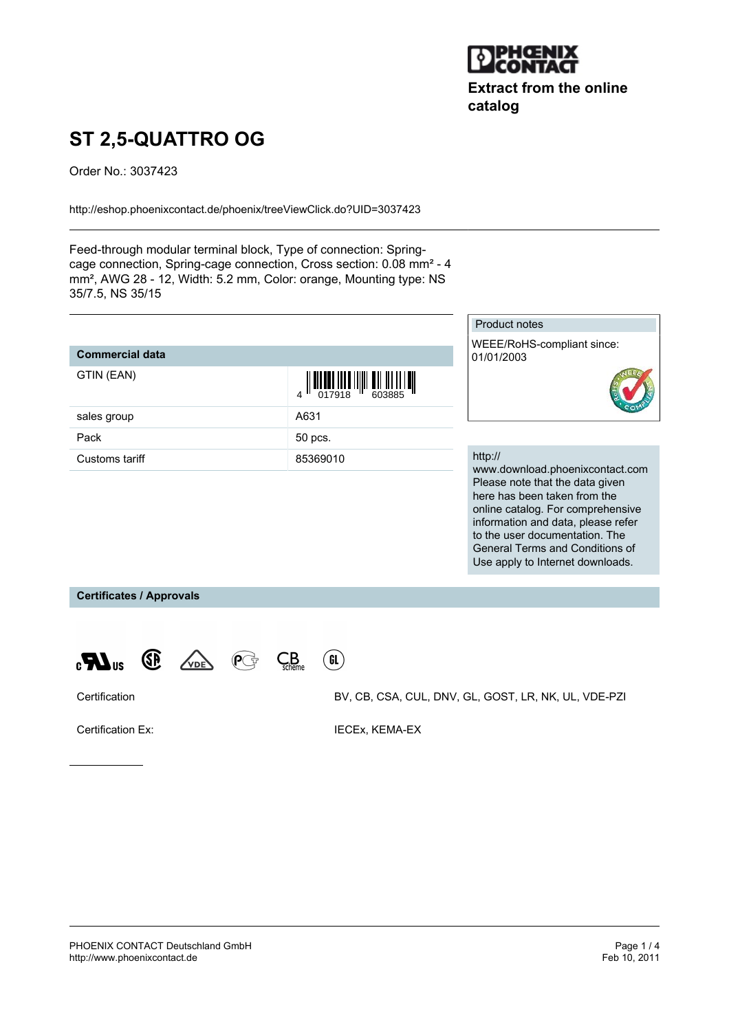

**Extract from the online catalog**

# **ST 2,5-QUATTRO OG**

Order No.: 3037423

<http://eshop.phoenixcontact.de/phoenix/treeViewClick.do?UID=3037423>

Feed-through modular terminal block, Type of connection: Springcage connection, Spring-cage connection, Cross section: 0.08 mm² - 4 mm², AWG 28 - 12, Width: 5.2 mm, Color: orange, Mounting type: NS 35/7.5, NS 35/15

| <b>Commercial data</b> |                                                                                                                                                                                                                                                                                                                     |
|------------------------|---------------------------------------------------------------------------------------------------------------------------------------------------------------------------------------------------------------------------------------------------------------------------------------------------------------------|
| GTIN (EAN)             | $\frac{1}{4}$ $\frac{1}{2}$ $\frac{1}{2}$ $\frac{1}{2}$ $\frac{1}{2}$ $\frac{1}{2}$ $\frac{1}{2}$ $\frac{1}{2}$ $\frac{1}{2}$ $\frac{1}{2}$ $\frac{1}{2}$ $\frac{1}{2}$ $\frac{1}{2}$ $\frac{1}{2}$ $\frac{1}{2}$ $\frac{1}{2}$ $\frac{1}{2}$ $\frac{1}{2}$ $\frac{1}{2}$ $\frac{1}{2}$ $\frac{1}{2}$ $\frac{1}{2}$ |
| sales group            | A631                                                                                                                                                                                                                                                                                                                |
| Pack                   | 50 pcs.                                                                                                                                                                                                                                                                                                             |
| Customs tariff         | 85369010                                                                                                                                                                                                                                                                                                            |

## Product notes

WEEE/RoHS-compliant since: 01/01/2003



#### http://

www.download.phoenixcontact.com Please note that the data given here has been taken from the online catalog. For comprehensive information and data, please refer to the user documentation. The General Terms and Conditions of Use apply to Internet downloads.

**Certificates / Approvals**







Certification BV, CB, CSA, CUL, DNV, GL, GOST, LR, NK, UL, VDE-PZI

Certification Ex: **IECEX, KEMA-EX**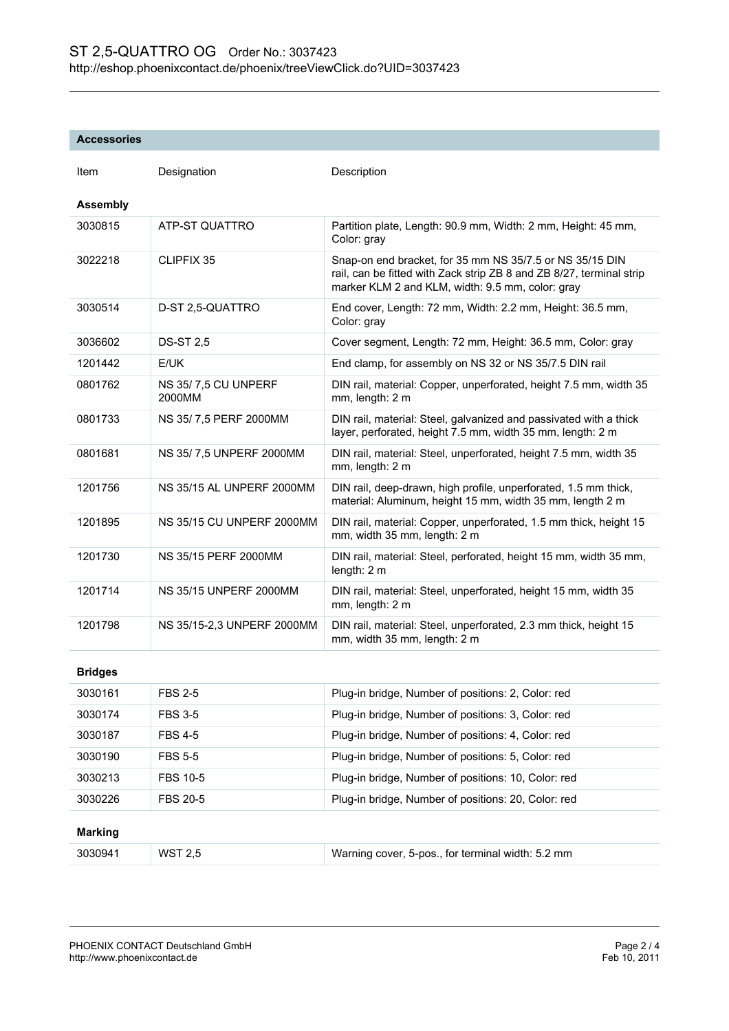### **Accessories**

| Item            | Designation                   | Description                                                                                                                                                                          |  |  |
|-----------------|-------------------------------|--------------------------------------------------------------------------------------------------------------------------------------------------------------------------------------|--|--|
| <b>Assembly</b> |                               |                                                                                                                                                                                      |  |  |
| 3030815         | ATP-ST QUATTRO                | Partition plate, Length: 90.9 mm, Width: 2 mm, Height: 45 mm,<br>Color: gray                                                                                                         |  |  |
| 3022218         | <b>CLIPFIX 35</b>             | Snap-on end bracket, for 35 mm NS 35/7.5 or NS 35/15 DIN<br>rail, can be fitted with Zack strip ZB 8 and ZB 8/27, terminal strip<br>marker KLM 2 and KLM, width: 9.5 mm, color: gray |  |  |
| 3030514         | D-ST 2,5-QUATTRO              | End cover, Length: 72 mm, Width: 2.2 mm, Height: 36.5 mm,<br>Color: gray                                                                                                             |  |  |
| 3036602         | <b>DS-ST 2,5</b>              | Cover segment, Length: 72 mm, Height: 36.5 mm, Color: gray                                                                                                                           |  |  |
| 1201442         | E/UK                          | End clamp, for assembly on NS 32 or NS 35/7.5 DIN rail                                                                                                                               |  |  |
| 0801762         | NS 35/7,5 CU UNPERF<br>2000MM | DIN rail, material: Copper, unperforated, height 7.5 mm, width 35<br>mm, length: 2 m                                                                                                 |  |  |
| 0801733         | NS 35/7,5 PERF 2000MM         | DIN rail, material: Steel, galvanized and passivated with a thick<br>layer, perforated, height 7.5 mm, width 35 mm, length: 2 m                                                      |  |  |
| 0801681         | NS 35/7,5 UNPERF 2000MM       | DIN rail, material: Steel, unperforated, height 7.5 mm, width 35<br>mm, length: 2 m                                                                                                  |  |  |
| 1201756         | NS 35/15 AL UNPERF 2000MM     | DIN rail, deep-drawn, high profile, unperforated, 1.5 mm thick,<br>material: Aluminum, height 15 mm, width 35 mm, length 2 m                                                         |  |  |
| 1201895         | NS 35/15 CU UNPERF 2000MM     | DIN rail, material: Copper, unperforated, 1.5 mm thick, height 15<br>mm, width 35 mm, length: 2 m                                                                                    |  |  |
| 1201730         | <b>NS 35/15 PERF 2000MM</b>   | DIN rail, material: Steel, perforated, height 15 mm, width 35 mm,<br>length: 2 m                                                                                                     |  |  |
| 1201714         | <b>NS 35/15 UNPERF 2000MM</b> | DIN rail, material: Steel, unperforated, height 15 mm, width 35<br>mm, length: 2 m                                                                                                   |  |  |
| 1201798         | NS 35/15-2,3 UNPERF 2000MM    | DIN rail, material: Steel, unperforated, 2.3 mm thick, height 15<br>mm, width 35 mm, length: 2 m                                                                                     |  |  |
| <b>Bridges</b>  |                               |                                                                                                                                                                                      |  |  |
| 3030161         | <b>FBS 2-5</b>                | Plug-in bridge, Number of positions: 2, Color: red                                                                                                                                   |  |  |
| 3030174         | <b>FBS 3-5</b>                | Plug-in bridge, Number of positions: 3, Color: red                                                                                                                                   |  |  |
| 3030187         | <b>FBS 4-5</b>                | Plug-in bridge, Number of positions: 4, Color: red                                                                                                                                   |  |  |
| 3030190         | <b>FBS 5-5</b>                | Plug-in bridge, Number of positions: 5, Color: red                                                                                                                                   |  |  |
| 3030213         | <b>FBS 10-5</b>               | Plug-in bridge, Number of positions: 10, Color: red                                                                                                                                  |  |  |
| 3030226         | <b>FBS 20-5</b>               | Plug-in bridge, Number of positions: 20, Color: red                                                                                                                                  |  |  |
| <b>Marking</b>  |                               |                                                                                                                                                                                      |  |  |
| 3030941         | <b>WST 2,5</b>                | Warning cover, 5-pos., for terminal width: 5.2 mm                                                                                                                                    |  |  |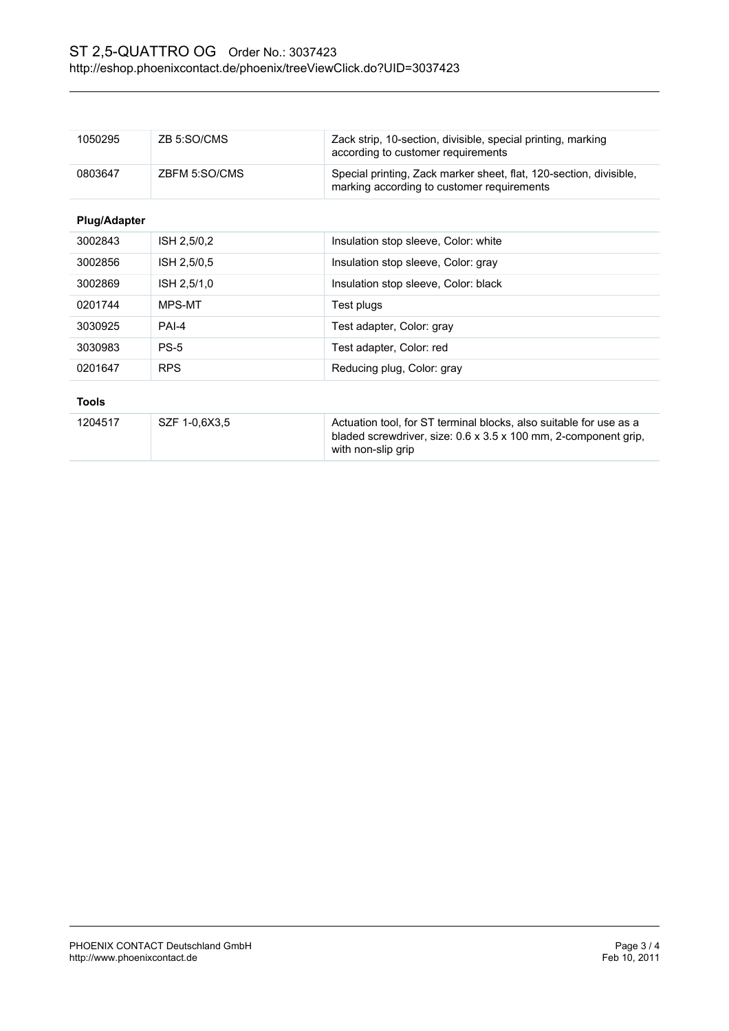| 1050295             | ZB 5:SO/CMS   | Zack strip, 10-section, divisible, special printing, marking<br>according to customer requirements               |  |
|---------------------|---------------|------------------------------------------------------------------------------------------------------------------|--|
| 0803647             | ZBFM 5:SO/CMS | Special printing, Zack marker sheet, flat, 120-section, divisible,<br>marking according to customer requirements |  |
| <b>Plug/Adapter</b> |               |                                                                                                                  |  |
| 3002843             | ISH 2,5/0,2   | Insulation stop sleeve, Color: white                                                                             |  |
| 3002856             | ISH 2,5/0,5   | Insulation stop sleeve, Color: gray                                                                              |  |
| 3002869             | ISH 2,5/1,0   | Insulation stop sleeve, Color: black                                                                             |  |
| 0201744             | MPS-MT        | Test plugs                                                                                                       |  |
| 3030925             | PAI-4         | Test adapter, Color: gray                                                                                        |  |
| 3030983             | $PS-5$        | Test adapter, Color: red                                                                                         |  |
| 0201647             | <b>RPS</b>    | Reducing plug, Color: gray                                                                                       |  |

| 1204517 | SZF 1-0.6X3.5 | Actuation tool, for ST terminal blocks, also suitable for use as a<br>bladed screwdriver, size: $0.6 \times 3.5 \times 100$ mm, 2-component grip,<br>with non-slip grip |  |  |
|---------|---------------|-------------------------------------------------------------------------------------------------------------------------------------------------------------------------|--|--|
|         |               |                                                                                                                                                                         |  |  |